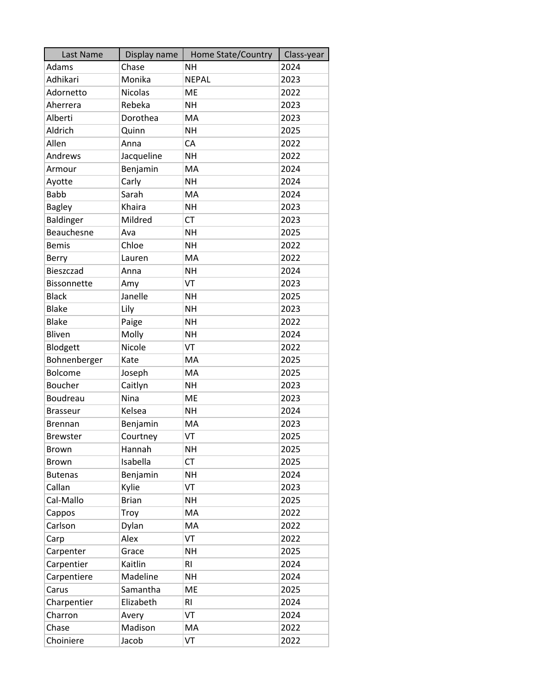| Last Name          | Display name | Home State/Country | Class-year |
|--------------------|--------------|--------------------|------------|
| Adams              | Chase        | <b>NH</b>          | 2024       |
| Adhikari           | Monika       | <b>NEPAL</b>       | 2023       |
| Adornetto          | Nicolas      | <b>ME</b>          | 2022       |
| Aherrera           | Rebeka       | <b>NH</b>          | 2023       |
| Alberti            | Dorothea     | MA                 | 2023       |
| Aldrich            | Quinn        | <b>NH</b>          | 2025       |
| Allen              | Anna         | CA                 | 2022       |
| Andrews            | Jacqueline   | <b>NH</b>          | 2022       |
| Armour             | Benjamin     | MA                 | 2024       |
| Ayotte             | Carly        | <b>NH</b>          | 2024       |
| <b>Babb</b>        | Sarah        | MA                 | 2024       |
| <b>Bagley</b>      | Khaira       | <b>NH</b>          | 2023       |
| Baldinger          | Mildred      | <b>CT</b>          | 2023       |
| Beauchesne         | Ava          | <b>NH</b>          | 2025       |
| <b>Bemis</b>       | Chloe        | <b>NH</b>          | 2022       |
| Berry              | Lauren       | MA                 | 2022       |
| Bieszczad          | Anna         | <b>NH</b>          | 2024       |
| <b>Bissonnette</b> | Amy          | VT                 | 2023       |
| <b>Black</b>       | Janelle      | <b>NH</b>          | 2025       |
| <b>Blake</b>       | Lily         | <b>NH</b>          | 2023       |
| <b>Blake</b>       | Paige        | <b>NH</b>          | 2022       |
| Bliven             | Molly        | <b>NH</b>          | 2024       |
| Blodgett           | Nicole       | VT                 | 2022       |
| Bohnenberger       | Kate         | MA                 | 2025       |
| Bolcome            | Joseph       | MA                 | 2025       |
| Boucher            | Caitlyn      | <b>NH</b>          | 2023       |
| Boudreau           | Nina         | <b>ME</b>          | 2023       |
| <b>Brasseur</b>    | Kelsea       | <b>NH</b>          | 2024       |
| <b>Brennan</b>     | Benjamin     | MA                 | 2023       |
| <b>Brewster</b>    | Courtney     | VT                 | 2025       |
| <b>Brown</b>       | Hannah       | <b>NH</b>          | 2025       |
| <b>Brown</b>       | Isabella     | <b>CT</b>          | 2025       |
| <b>Butenas</b>     | Benjamin     | NΗ                 | 2024       |
| Callan             | Kylie        | VT                 | 2023       |
| Cal-Mallo          | <b>Brian</b> | <b>NH</b>          | 2025       |
| Cappos             | Troy         | MA                 | 2022       |
| Carlson            | Dylan        | MA                 | 2022       |
| Carp               | Alex         | VT                 | 2022       |
| Carpenter          | Grace        | <b>NH</b>          | 2025       |
| Carpentier         | Kaitlin      | R <sub>l</sub>     | 2024       |
| Carpentiere        | Madeline     | <b>NH</b>          | 2024       |
| Carus              | Samantha     | ME                 | 2025       |
| Charpentier        | Elizabeth    | R1                 | 2024       |
| Charron            | Avery        | VT                 | 2024       |
| Chase              | Madison      | МA                 | 2022       |
| Choiniere          | Jacob        | VT                 | 2022       |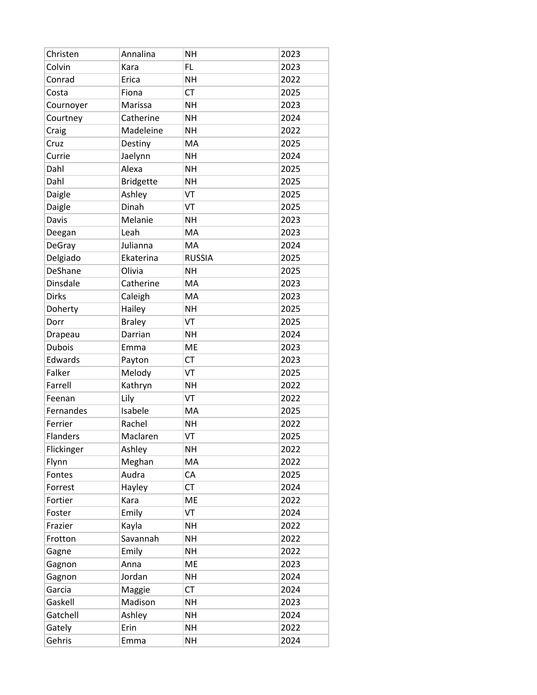| Christen        | Annalina         | <b>NH</b>     | 2023 |
|-----------------|------------------|---------------|------|
| Colvin          | Kara             | FL            | 2023 |
| Conrad          | Erica            | <b>NH</b>     | 2022 |
| Costa           | Fiona            | <b>CT</b>     | 2025 |
| Cournoyer       | Marissa          | <b>NH</b>     | 2023 |
| Courtney        | Catherine        | <b>NH</b>     | 2024 |
| Craig           | Madeleine        | <b>NH</b>     | 2022 |
| Cruz            | Destiny          | MA            | 2025 |
| Currie          | Jaelynn          | <b>NH</b>     | 2024 |
| Dahl            | Alexa            | <b>NH</b>     | 2025 |
| Dahl            | <b>Bridgette</b> | <b>NH</b>     | 2025 |
| Daigle          | Ashley           | VT            | 2025 |
| Daigle          | Dinah            | VT            | 2025 |
| Davis           | Melanie          | <b>NH</b>     | 2023 |
| Deegan          | Leah             | MA            | 2023 |
| DeGray          | Julianna         | MA            | 2024 |
| Delgiado        | Ekaterina        | <b>RUSSIA</b> | 2025 |
| DeShane         | Olivia           | <b>NH</b>     | 2025 |
| Dinsdale        | Catherine        | MA            | 2023 |
| <b>Dirks</b>    | Caleigh          | MA            | 2023 |
| Doherty         | Hailey           | <b>NH</b>     | 2025 |
| Dorr            | <b>Braley</b>    | VT            | 2025 |
| Drapeau         | Darrian          | <b>NH</b>     | 2024 |
| <b>Dubois</b>   | Emma             | ME            | 2023 |
| Edwards         | Payton           | <b>CT</b>     | 2023 |
| Falker          | Melody           | VT            | 2025 |
| Farrell         | Kathryn          | <b>NH</b>     | 2022 |
| Feenan          | Lily             | VT            | 2022 |
| Fernandes       | Isabele          | MA            | 2025 |
| Ferrier         | Rachel           | <b>NH</b>     | 2022 |
| <b>Flanders</b> | Maclaren         | VT            | 2025 |
| Flickinger      | Ashley           | <b>NH</b>     | 2022 |
| Flynn           | Meghan           | MA            | 2022 |
| Fontes          | Audra            | СA            | 2025 |
| Forrest         | Hayley           | <b>CT</b>     | 2024 |
| Fortier         | Kara             | ME            | 2022 |
| Foster          | Emily            | VT            | 2024 |
| Frazier         | Kayla            | <b>NH</b>     | 2022 |
| Frotton         | Savannah         | NΗ            | 2022 |
| Gagne           | Emily            | <b>NH</b>     | 2022 |
| Gagnon          | Anna             | ME            | 2023 |
| Gagnon          | Jordan           | <b>NH</b>     | 2024 |
| Garcia          | Maggie           | <b>CT</b>     | 2024 |
| Gaskell         | Madison          | <b>NH</b>     | 2023 |
| Gatchell        | Ashley           | NΗ            | 2024 |
| Gately          | Erin             | <b>NH</b>     | 2022 |
| Gehris          | Emma             | <b>NH</b>     | 2024 |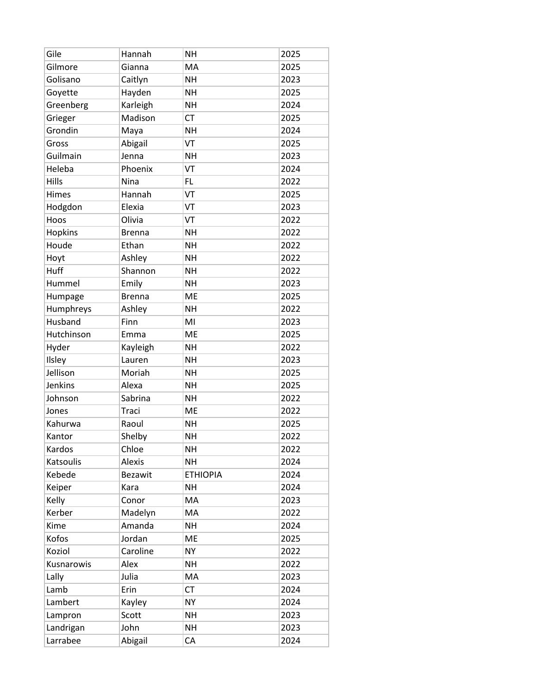| Gile       | Hannah         | <b>NH</b>       | 2025 |
|------------|----------------|-----------------|------|
| Gilmore    | Gianna         | MA              | 2025 |
| Golisano   | Caitlyn        | <b>NH</b>       | 2023 |
| Goyette    | Hayden         | <b>NH</b>       | 2025 |
| Greenberg  | Karleigh       | <b>NH</b>       | 2024 |
| Grieger    | Madison        | <b>CT</b>       | 2025 |
| Grondin    | Maya           | <b>NH</b>       | 2024 |
| Gross      | Abigail        | VT              | 2025 |
| Guilmain   | Jenna          | <b>NH</b>       | 2023 |
| Heleba     | Phoenix        | VT              | 2024 |
| Hills      | Nina           | FL              | 2022 |
| Himes      | Hannah         | VT              | 2025 |
| Hodgdon    | Elexia         | VT              | 2023 |
| Hoos       | Olivia         | VT              | 2022 |
| Hopkins    | <b>Brenna</b>  | NΗ              | 2022 |
| Houde      | Ethan          | <b>NH</b>       | 2022 |
| Hoyt       | Ashley         | <b>NH</b>       | 2022 |
| Huff       | Shannon        | <b>NH</b>       | 2022 |
| Hummel     | Emily          | <b>NH</b>       | 2023 |
| Humpage    | <b>Brenna</b>  | <b>ME</b>       | 2025 |
| Humphreys  | Ashley         | <b>NH</b>       | 2022 |
| Husband    | Finn           | MI              | 2023 |
| Hutchinson | Emma           | <b>ME</b>       | 2025 |
| Hyder      | Kayleigh       | <b>NH</b>       | 2022 |
| Ilsley     | Lauren         | <b>NH</b>       | 2023 |
| Jellison   | Moriah         | <b>NH</b>       | 2025 |
| Jenkins    | Alexa          | <b>NH</b>       | 2025 |
| Johnson    | Sabrina        | <b>NH</b>       | 2022 |
| Jones      | Traci          | <b>ME</b>       | 2022 |
| Kahurwa    | Raoul          | <b>NH</b>       | 2025 |
| Kantor     | Shelby         | <b>NH</b>       | 2022 |
| Kardos     | Chloe          | <b>NH</b>       | 2022 |
| Katsoulis  | <b>Alexis</b>  | <b>NH</b>       | 2024 |
| Kebede     | <b>Bezawit</b> | <b>ETHIOPIA</b> | 2024 |
| Keiper     | Kara           | <b>NH</b>       | 2024 |
| Kelly      | Conor          | MA              | 2023 |
| Kerber     | Madelyn        | MA              | 2022 |
| Kime       | Amanda         | NΗ              | 2024 |
| Kofos      | Jordan         | <b>ME</b>       | 2025 |
| Koziol     | Caroline       | <b>NY</b>       | 2022 |
| Kusnarowis | Alex           | <b>NH</b>       | 2022 |
| Lally      | Julia          | MA              | 2023 |
| Lamb       | Erin           | <b>CT</b>       | 2024 |
| Lambert    | Kayley         | <b>NY</b>       | 2024 |
| Lampron    | Scott          | <b>NH</b>       | 2023 |
| Landrigan  | John           | <b>NH</b>       | 2023 |
| Larrabee   | Abigail        | CA              | 2024 |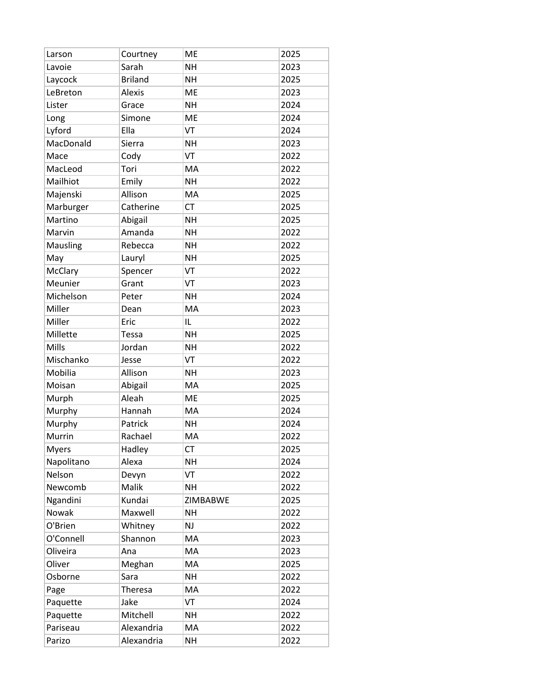| Larson       | Courtney       | <b>ME</b> | 2025 |
|--------------|----------------|-----------|------|
| Lavoie       | Sarah          | <b>NH</b> | 2023 |
| Laycock      | <b>Briland</b> | <b>NH</b> | 2025 |
| LeBreton     | <b>Alexis</b>  | <b>ME</b> | 2023 |
| Lister       | Grace          | <b>NH</b> | 2024 |
| Long         | Simone         | <b>ME</b> | 2024 |
| Lyford       | Ella           | VT        | 2024 |
| MacDonald    | Sierra         | NΗ        | 2023 |
| Mace         | Cody           | VT        | 2022 |
| MacLeod      | Tori           | MA        | 2022 |
| Mailhiot     | Emily          | <b>NH</b> | 2022 |
| Majenski     | Allison        | MA        | 2025 |
| Marburger    | Catherine      | <b>CT</b> | 2025 |
| Martino      | Abigail        | <b>NH</b> | 2025 |
| Marvin       | Amanda         | <b>NH</b> | 2022 |
| Mausling     | Rebecca        | <b>NH</b> | 2022 |
| May          | Lauryl         | <b>NH</b> | 2025 |
| McClary      | Spencer        | VT        | 2022 |
| Meunier      | Grant          | VT        | 2023 |
| Michelson    | Peter          | <b>NH</b> | 2024 |
| Miller       | Dean           | MA        | 2023 |
| Miller       | Eric           | IL        | 2022 |
| Millette     | Tessa          | <b>NH</b> | 2025 |
| Mills        | Jordan         | <b>NH</b> | 2022 |
| Mischanko    | Jesse          | VT        | 2022 |
| Mobilia      | Allison        | NΗ        | 2023 |
| Moisan       | Abigail        | MA        | 2025 |
| Murph        | Aleah          | <b>ME</b> | 2025 |
| Murphy       | Hannah         | MA        | 2024 |
| Murphy       | Patrick        | <b>NH</b> | 2024 |
| Murrin       | Rachael        | MA        | 2022 |
| <b>Myers</b> | Hadley         | СT        | 2025 |
| Napolitano   | Alexa          | <b>NH</b> | 2024 |
| Nelson       | Devyn          | VT        | 2022 |
| Newcomb      | Malik          | <b>NH</b> | 2022 |
| Ngandini     | Kundai         | ZIMBABWE  | 2025 |
| Nowak        | Maxwell        | <b>NH</b> | 2022 |
| O'Brien      | Whitney        | NJ        | 2022 |
| O'Connell    | Shannon        | MA        | 2023 |
| Oliveira     | Ana            | MA        | 2023 |
| Oliver       | Meghan         | MA        | 2025 |
| Osborne      | Sara           | <b>NH</b> | 2022 |
| Page         | Theresa        | MA        | 2022 |
| Paquette     | Jake           | VT        | 2024 |
| Paquette     | Mitchell       | <b>NH</b> | 2022 |
| Pariseau     | Alexandria     | МA        | 2022 |
| Parizo       | Alexandria     | <b>NH</b> | 2022 |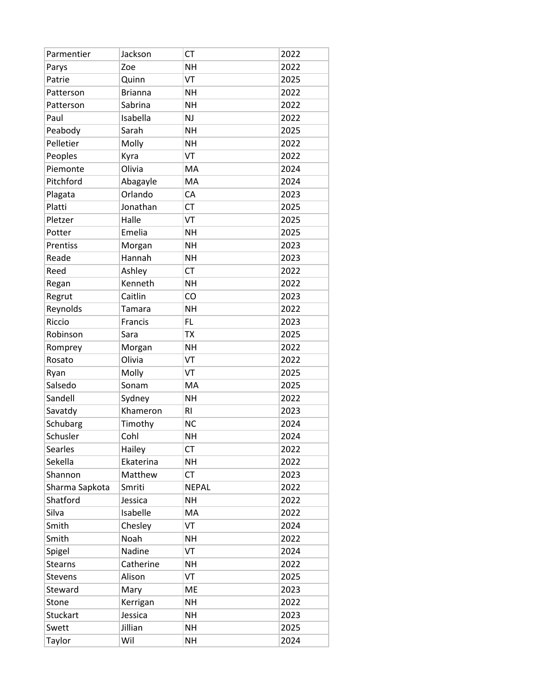| Parmentier     | Jackson        | <b>CT</b>      | 2022 |
|----------------|----------------|----------------|------|
| Parys          | Zoe            | <b>NH</b>      | 2022 |
| Patrie         | Quinn          | VT             | 2025 |
| Patterson      | <b>Brianna</b> | <b>NH</b>      | 2022 |
| Patterson      | Sabrina        | <b>NH</b>      | 2022 |
| Paul           | Isabella       | <b>NJ</b>      | 2022 |
| Peabody        | Sarah          | <b>NH</b>      | 2025 |
| Pelletier      | Molly          | <b>NH</b>      | 2022 |
| Peoples        | Kyra           | VT             | 2022 |
| Piemonte       | Olivia         | <b>MA</b>      | 2024 |
| Pitchford      | Abagayle       | MA             | 2024 |
| Plagata        | Orlando        | CA             | 2023 |
| Platti         | Jonathan       | <b>CT</b>      | 2025 |
| Pletzer        | Halle          | VT             | 2025 |
| Potter         | Emelia         | <b>NH</b>      | 2025 |
| Prentiss       | Morgan         | <b>NH</b>      | 2023 |
| Reade          | Hannah         | <b>NH</b>      | 2023 |
| Reed           | Ashley         | <b>CT</b>      | 2022 |
| Regan          | Kenneth        | <b>NH</b>      | 2022 |
| Regrut         | Caitlin        | CO             | 2023 |
| Reynolds       | Tamara         | <b>NH</b>      | 2022 |
| Riccio         | Francis        | <b>FL</b>      | 2023 |
| Robinson       | Sara           | <b>TX</b>      | 2025 |
| Romprey        | Morgan         | <b>NH</b>      | 2022 |
| Rosato         | Olivia         | VT             | 2022 |
| Ryan           | Molly          | VT             | 2025 |
| Salsedo        | Sonam          | MA             | 2025 |
| Sandell        | Sydney         | <b>NH</b>      | 2022 |
| Savatdy        | Khameron       | R <sub>l</sub> | 2023 |
| Schubarg       | Timothy        | <b>NC</b>      | 2024 |
| Schusler       | Cohl           | <b>NH</b>      | 2024 |
| Searles        | Hailey         | <b>CT</b>      | 2022 |
| Sekella        | Ekaterina      | <b>NH</b>      | 2022 |
| Shannon        | Matthew        | CT             | 2023 |
| Sharma Sapkota | Smriti         | <b>NEPAL</b>   | 2022 |
| Shatford       | Jessica        | <b>NH</b>      | 2022 |
| Silva          | Isabelle       | MA             | 2022 |
| Smith          | Chesley        | VT             | 2024 |
| Smith          | Noah           | <b>NH</b>      | 2022 |
| Spigel         | Nadine         | VT             | 2024 |
| <b>Stearns</b> | Catherine      | NΗ             | 2022 |
| <b>Stevens</b> | Alison         | VT             | 2025 |
| Steward        | Mary           | ME             | 2023 |
| Stone          | Kerrigan       | <b>NH</b>      | 2022 |
| Stuckart       | Jessica        | NΗ             | 2023 |
| Swett          | Jillian        | <b>NH</b>      | 2025 |
| Taylor         | Wil            | <b>NH</b>      | 2024 |